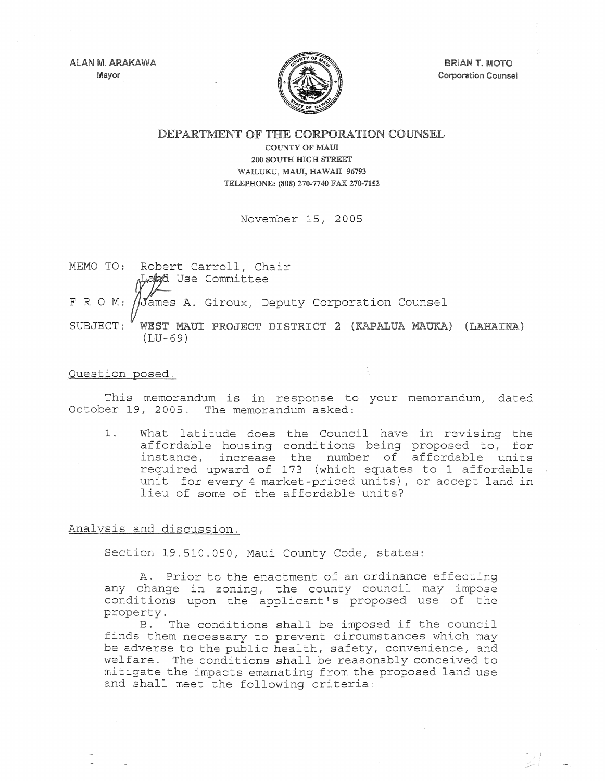ALAN M. ARAKAWA Mayor



BRIAN T. MOTO Corporation Counsel

DEPARTMENT OF THE CORPORATION COUNSEL

COUNTY OF MAUl 200 SOUTH mGH STREET WAILUKU, MAUl, HAWATI 96793 TELEPHONE: (808) 270-7740 FAX 270-7152

November 15, 2005

MEMO TO: Robert Carroll, Chair FRO M: SUBJECT: ALapyd Use Committee James A. Giroux, Deputy Corporation Counsel WEST MAUl PROJECT DISTRICT 2 (KAPALUA MAUKA) (LAHAINA) (LU-69)

## Question posed.

This memorandum is in response to your memorandum, dated October 19, 2005. The memorandum asked:

1. What latitude does the Council have in revising the affordable housing conditions being proposed to, for instance, increase the number of affordable units required upward of 173 (which equates to 1 affordable unit for every 4 market-priced units), or accept land in lieu of some of the affordable units?

Analysis and discussion.

Section 19.510.050, Maui County Code, states:

A. Prior to the enactment of an ordinance effecting any change in zoning, the county council may impose conditions upon the applicant's proposed use of the property.

B. The conditions shall be imposed if the council finds them necessary to prevent circumstances which may be adverse to the public health, safety *t* convenience *t* and welfare. The conditions shall be reasonably conceived to mi tigate the impacts emanating from the proposed land use and shall meet the following criteria: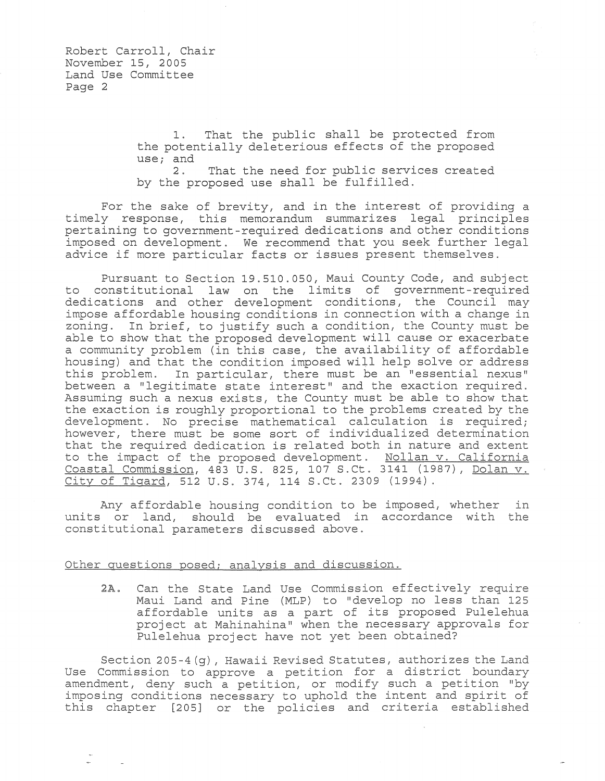1. That the public shall be protected from the potentially deleterious effects of the proposed use; and  $\frac{2}{3}$ .

That the need for public services created by the proposed use shall be fulfilled.

For the sake of brevity, and in the interest of providing a timely response, this memorandum summarizes legal principles pertaining to government-required dedications and other conditions imposed on development. We recommend that you seek further legal advice if more particular facts or issues present themselves.

Pursuant to Section 19.510.050, Maui County Code, and subject to constitutional law on the limits of government-required dedications and other development conditions, the Council may impose affordable housing conditions in connection with a change in zoning. In brief, to justify such a condition, the County must be able to show that the proposed development will cause or exacerbate a community problem (in this case, the availability of affordable housing) and that the condition imposed will help solve or address this problem. In particular, there must be an "essential nexus" between a "legitimate state interest" and the exaction required. Assuming such a nexus exists, the County must be able to show that the exaction is roughly proportional to the problems created by the development. No precise mathematical calculation is required; however, there must be some sort of individualized determination that the required dedication is related both in nature and extent to the impact of the proposed development. Nollan v. California Coastal Commission, 483 U.S. 825, 107 S.Ct. 3141 (1987), Dolan v. City of Tigard, 512 U.S. 374, 114 S.Ct. 2309 (1994).

Any affordable housing condition to be imposed, whether in units or land, should be evaluated in accordance with the constitutional parameters discussed above.

## Other questions posed; analysis and discussion.

2A. Can the State Land Use Commission effectively require Maui Land and Pine (MLP) to "develop no less than 125 affordable units as a part of its proposed Pulelehua project at Mahinahina" when the necessary approvals for Pulelehua project have not yet been obtained?

Section 205-4 (g), Hawaii Revised Statutes, authorizes the Land Use Commission to approve a petition for a district boundary amendment, deny such a petition, or modify such a petition "by imposing conditions necessary to uphold the intent and spirit of this chapter [205] or the policies and criteria established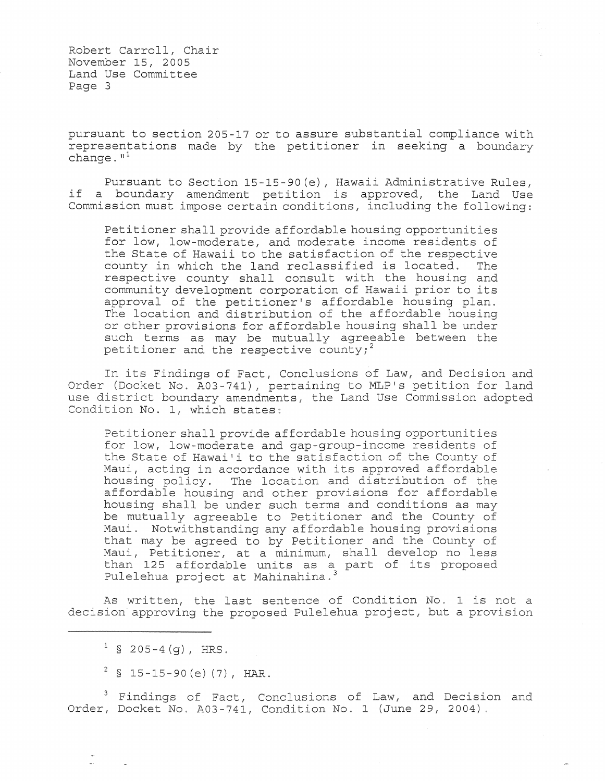Robert Carroll, Chair November 15, 2005 Land Use Committee Page 3

pursuant to section 205-17 or to assure substantial compliance with representations made by the petitioner in seeking a boundary change. $n<sup>1</sup>$ 

Pursuant to Section 15-15-90(e), Hawaii Administrative Rules, if a boundary amendment petition is approved, the Land Use Commission must impose certain conditions, including the following:

Petitioner shall provide affordable housing opportunities for low, low-moderate, and moderate income residents of the State of Hawaii to the satisfaction of the respective<br>county in which the land reclassified is located. The county in which the land reclassified is located. respective county shall consult with the housing and community development corporation of Hawaii prior to its approval of the petitioner's affordable housing plan. The location and distribution of the affordable housing or other provisions for affordable housing shall be under such terms as may be mutually agreeable between the petitioner and the respective county;<sup>2</sup>

In its Findings of Fact, Conclusions of Law, and Decision and Order (Docket No. A03-741), pertaining to MLP's petition for land use district boundary amendments, the Land Use Commission adopted Condition No.1, which states:

Petitioner shall provide affordable housing opportunities for low, low-moderate and gap-group-income residents of the State of Hawai'i to the satisfaction of the County of Maui, acting in accordance with its approved affordable housing policy. The location and distribution of the affordable housing and other provisions for affordable housing shall be under such terms and conditions as may be mutually agreeable to Petitioner and the County of Maui. Notwithstanding any affordable housing provisions that may be agreed to by Petitioner and the County of Maui, Petitioner, at a minimum, shall develop no less than 125 affordable units as a part of its proposed Pulelehua project at Mahinahina. <sup>3</sup>

As written, the last sentence of Condition No. 1 is not a decision approving the proposed Pulelehua project, but a provision

Findings of Fact, Conclusions of Law, and Decision and Order, Docket No. A03-741, Condition No. 1 (June 29, 2004).

 $^{1}$  § 205-4(g), HRS.

 $2$  § 15-15-90 (e) (7), HAR.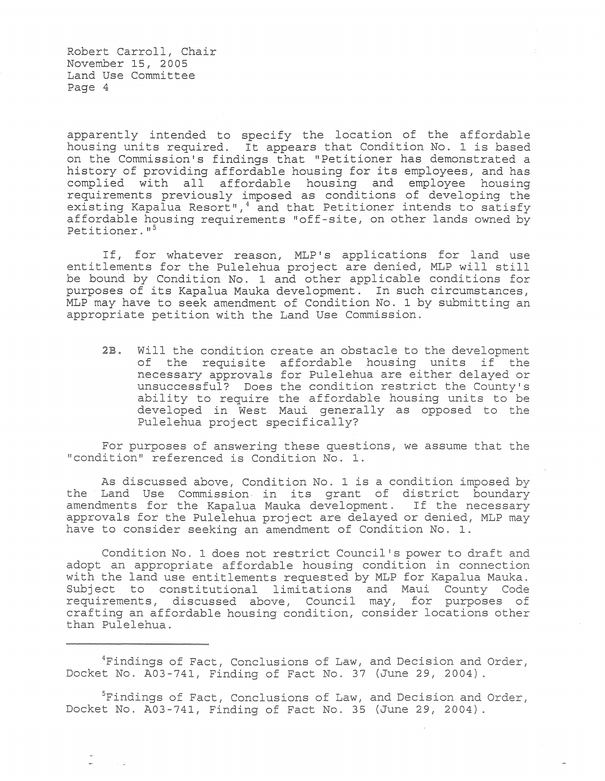Robert Carroll, Chair November 15, 2005 Land Use Committee Page 4

apparently intended to specify the location of the affordable housing units required. It appears that Condition No. 1 is based on the Commission's findings that "Petitioner has demonstrated a history of providing affordable housing for its employees, and has complied with all affordable housing and employee housing requirements previously imposed as conditions of developing the existing Kapalua Resort",<sup>4</sup> and that Petitioner intends to satisfy affordable housing requirements "off-site, on other lands owned by Petitioner."<sup>5</sup>

If, for whatever reason, MLP's applications for land use entitlements for the Pulelehua project are denied, MLP will still be bound by Condition No. 1 and other applicable conditions for purposes of its Kapalua Mauka development. In such circumstances, MLP may have to seek amendment of Condition No. 1 by submitting an appropriate petition with the Land Use Commission.

*2B.* Will the condition create an obstacle to the development of the requisite affordable housing units if the necessary approvals for Pulelehua are either delayed or unsuccessful? Does the condition restrict the County's ability to require the affordable housing units to be developed in West Maui generally as opposed to the Pulelehua project specifically?

For purposes of answering these questions, we assume that the "condition" referenced is Condition No. 1.

As discussed above, Condition No.1 is a condition imposed by the Land Use Commission in its grant of district boundary amendments for the Kapalua Mauka development. If the necessary approvals for the Pulelehua project are delayed or denied, MLP may have to consider seeking an amendment of Condition No.1.

Condition No.1 does not restrict Council's power to draft and adopt an appropriate affordable housing condition in connection with the land use entitlements requested by MLP for Kapalua Mauka. Subject to constitutional limitations and Maui County Code requirements, discussed above, Council may, for purposes of crafting an affordable housing condition, consider locations other than Pulelehua.

<sup>4</sup>Findings of Fact, Conclusions of Law, and Decision and Order, Docket No. A03-741, Finding of Fact No. 37 (June 29, 2004).

<sup>5</sup>Findings of Fact, Conclusions of Law, and Decision and Order, Docket No. A03-741, Finding of Fact No. 35 (June 29, 2004).